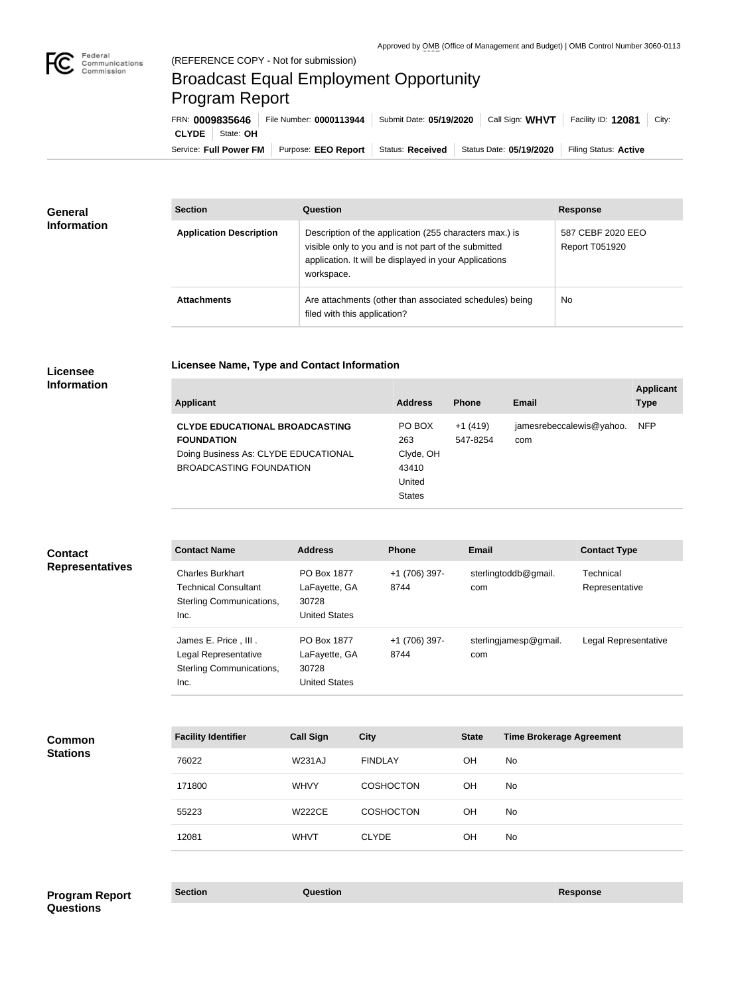

## Broadcast Equal Employment Opportunity Program Report

**Licensee Name, Type and Contact Information**

Service: Full Power FM | Purpose: EEO Report | Status: Received | Status Date: 05/19/2020 | Filing Status: Active **CLYDE** State: **OH** FRN: **0009835646** File Number: **0000113944** Submit Date: **05/19/2020** Call Sign: **WHVT** Facility ID: **12081** City:

| <b>General</b>     | <b>Section</b>                 | Question                                                                                                                                                                                | <b>Response</b>                            |
|--------------------|--------------------------------|-----------------------------------------------------------------------------------------------------------------------------------------------------------------------------------------|--------------------------------------------|
| <b>Information</b> | <b>Application Description</b> | Description of the application (255 characters max.) is<br>visible only to you and is not part of the submitted<br>application. It will be displayed in your Applications<br>workspace. | 587 CEBF 2020 EEO<br><b>Report T051920</b> |
|                    | <b>Attachments</b>             | Are attachments (other than associated schedules) being<br>filed with this application?                                                                                                 | <b>No</b>                                  |

## **Licensee Information**

| <b>Applicant</b>                                           | <b>Address</b> | <b>Phone</b>          | Email                           | <b>Applicant</b><br><b>Type</b> |
|------------------------------------------------------------|----------------|-----------------------|---------------------------------|---------------------------------|
| <b>CLYDE EDUCATIONAL BROADCASTING</b><br><b>FOUNDATION</b> | PO BOX<br>263  | $+1(419)$<br>547-8254 | jamesrebeccalewis@yahoo.<br>com | <b>NFP</b>                      |
| Doing Business As: CLYDE EDUCATIONAL                       | Clyde, OH      |                       |                                 |                                 |
| BROADCASTING FOUNDATION                                    | 43410          |                       |                                 |                                 |
|                                                            | United         |                       |                                 |                                 |
|                                                            | <b>States</b>  |                       |                                 |                                 |

| <b>Contact</b>         |
|------------------------|
| <b>Representatives</b> |

| <b>Contact Name</b>         | <b>Address</b>       | <b>Phone</b>  | <b>Email</b>          | <b>Contact Type</b>  |
|-----------------------------|----------------------|---------------|-----------------------|----------------------|
| <b>Charles Burkhart</b>     | PO Box 1877          | +1 (706) 397- | sterlingtoddb@gmail.  | Technical            |
| <b>Technical Consultant</b> | LaFayette, GA        | 8744          | com                   | Representative       |
| Sterling Communications,    | 30728                |               |                       |                      |
| Inc.                        | <b>United States</b> |               |                       |                      |
| James E. Price, III.        | PO Box 1877          | +1 (706) 397- | sterlingjamesp@gmail. | Legal Representative |
| Legal Representative        | LaFayette, GA        | 8744          | com                   |                      |
| Sterling Communications,    | 30728                |               |                       |                      |
| Inc.                        | <b>United States</b> |               |                       |                      |
|                             |                      |               |                       |                      |

**Common Stations**

| <b>Facility Identifier</b> | <b>Call Sign</b> | <b>City</b>      | <b>State</b> | <b>Time Brokerage Agreement</b> |
|----------------------------|------------------|------------------|--------------|---------------------------------|
| 76022                      | <b>W231AJ</b>    | <b>FINDLAY</b>   | <b>OH</b>    | No.                             |
| 171800                     | <b>WHVY</b>      | <b>COSHOCTON</b> | <b>OH</b>    | No.                             |
| 55223                      | <b>W222CE</b>    | <b>COSHOCTON</b> | <b>OH</b>    | No.                             |
| 12081                      | <b>WHVT</b>      | <b>CLYDE</b>     | OН           | No                              |